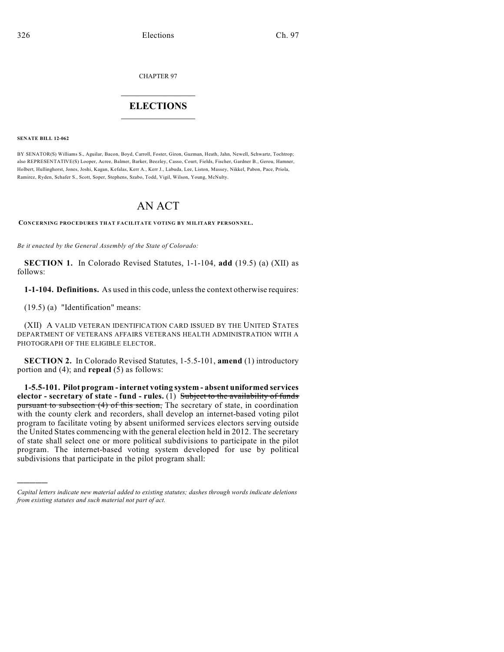CHAPTER 97

## $\overline{\phantom{a}}$  . The set of the set of the set of the set of the set of the set of the set of the set of the set of the set of the set of the set of the set of the set of the set of the set of the set of the set of the set o **ELECTIONS**  $\_$

**SENATE BILL 12-062**

)))))

BY SENATOR(S) Williams S., Aguilar, Bacon, Boyd, Carroll, Foster, Giron, Guzman, Heath, Jahn, Newell, Schwartz, Tochtrop; also REPRESENTATIVE(S) Looper, Acree, Balmer, Barker, Beezley, Casso, Court, Fields, Fischer, Gardner B., Gerou, Hamner, Holbert, Hullinghorst, Jones, Joshi, Kagan, Kefalas, Kerr A., Kerr J., Labuda, Lee, Liston, Massey, Nikkel, Pabon, Pace, Priola, Ramirez, Ryden, Schafer S., Scott, Soper, Stephens, Szabo, Todd, Vigil, Wilson, Young, McNulty.

## AN ACT

**CONCERNING PROCEDURES THAT FACILITATE VOTING BY MILITARY PERSONNEL.**

*Be it enacted by the General Assembly of the State of Colorado:*

**SECTION 1.** In Colorado Revised Statutes, 1-1-104, **add** (19.5) (a) (XII) as follows:

**1-1-104. Definitions.** As used in this code, unlessthe context otherwise requires:

(19.5) (a) "Identification" means:

(XII) A VALID VETERAN IDENTIFICATION CARD ISSUED BY THE UNITED STATES DEPARTMENT OF VETERANS AFFAIRS VETERANS HEALTH ADMINISTRATION WITH A PHOTOGRAPH OF THE ELIGIBLE ELECTOR.

**SECTION 2.** In Colorado Revised Statutes, 1-5.5-101, **amend** (1) introductory portion and (4); and **repeal** (5) as follows:

**1-5.5-101. Pilot program - internet voting system - absent uniformed services elector - secretary of state - fund - rules.** (1) Subject to the availability of funds pursuant to subsection (4) of this section, The secretary of state, in coordination with the county clerk and recorders, shall develop an internet-based voting pilot program to facilitate voting by absent uniformed services electors serving outside the United States commencing with the general election held in 2012. The secretary of state shall select one or more political subdivisions to participate in the pilot program. The internet-based voting system developed for use by political subdivisions that participate in the pilot program shall:

*Capital letters indicate new material added to existing statutes; dashes through words indicate deletions from existing statutes and such material not part of act.*